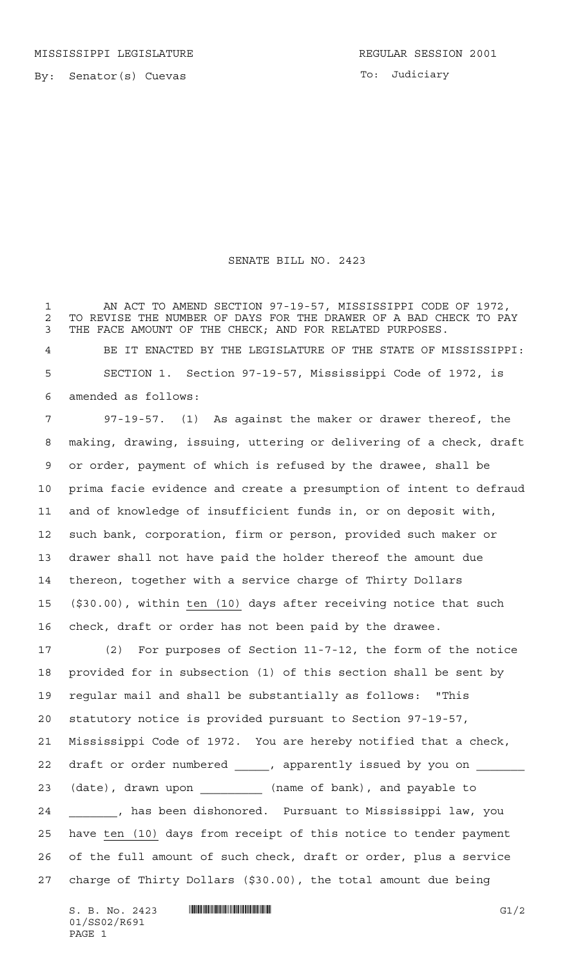To: Judiciary

## SENATE BILL NO. 2423

 AN ACT TO AMEND SECTION 97-19-57, MISSISSIPPI CODE OF 1972, 2 TO REVISE THE NUMBER OF DAYS FOR THE DRAWER OF A BAD CHECK TO PAY<br>3 THE FACE AMOUNT OF THE CHECK: AND FOR RELATED PURPOSES. THE FACE AMOUNT OF THE CHECK; AND FOR RELATED PURPOSES.

 BE IT ENACTED BY THE LEGISLATURE OF THE STATE OF MISSISSIPPI: SECTION 1. Section 97-19-57, Mississippi Code of 1972, is amended as follows:

 97-19-57. (1) As against the maker or drawer thereof, the making, drawing, issuing, uttering or delivering of a check, draft or order, payment of which is refused by the drawee, shall be prima facie evidence and create a presumption of intent to defraud and of knowledge of insufficient funds in, or on deposit with, such bank, corporation, firm or person, provided such maker or drawer shall not have paid the holder thereof the amount due thereon, together with a service charge of Thirty Dollars (\$30.00), within ten (10) days after receiving notice that such check, draft or order has not been paid by the drawee.

 (2) For purposes of Section 11-7-12, the form of the notice provided for in subsection (1) of this section shall be sent by regular mail and shall be substantially as follows: "This statutory notice is provided pursuant to Section 97-19-57, Mississippi Code of 1972. You are hereby notified that a check, 22 draft or order numbered \_\_\_\_\_, apparently issued by you on \_\_\_ (date), drawn upon \_\_\_\_\_\_\_\_\_ (name of bank), and payable to \_\_\_\_\_\_\_, has been dishonored. Pursuant to Mississippi law, you have ten (10) days from receipt of this notice to tender payment of the full amount of such check, draft or order, plus a service charge of Thirty Dollars (\$30.00), the total amount due being

 $S. B. No. 2423$  **... Source and the set of the set of the set of the set of the set of the set of the set of the set of the set of the set of the set of the set of the set of the set of the set of the set of the set of the** 01/SS02/R691 PAGE 1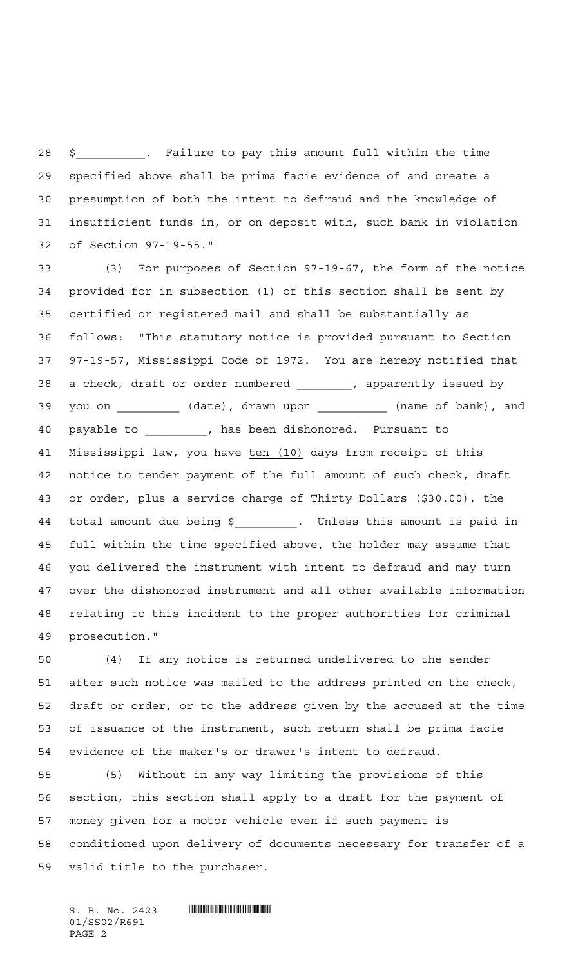\$\_\_\_\_\_\_\_\_\_\_. Failure to pay this amount full within the time specified above shall be prima facie evidence of and create a presumption of both the intent to defraud and the knowledge of insufficient funds in, or on deposit with, such bank in violation of Section 97-19-55."

 (3) For purposes of Section 97-19-67, the form of the notice provided for in subsection (1) of this section shall be sent by certified or registered mail and shall be substantially as follows: "This statutory notice is provided pursuant to Section 97-19-57, Mississippi Code of 1972. You are hereby notified that a check, draft or order numbered \_\_\_\_\_\_\_\_, apparently issued by you on \_\_\_\_\_\_\_\_\_ (date), drawn upon \_\_\_\_\_\_\_\_\_\_ (name of bank), and payable to \_\_\_\_\_\_\_\_\_, has been dishonored. Pursuant to Mississippi law, you have ten (10) days from receipt of this notice to tender payment of the full amount of such check, draft or order, plus a service charge of Thirty Dollars (\$30.00), the total amount due being \$\_\_\_\_\_\_\_\_\_. Unless this amount is paid in full within the time specified above, the holder may assume that you delivered the instrument with intent to defraud and may turn over the dishonored instrument and all other available information relating to this incident to the proper authorities for criminal prosecution."

 (4) If any notice is returned undelivered to the sender after such notice was mailed to the address printed on the check, draft or order, or to the address given by the accused at the time of issuance of the instrument, such return shall be prima facie evidence of the maker's or drawer's intent to defraud.

 (5) Without in any way limiting the provisions of this section, this section shall apply to a draft for the payment of money given for a motor vehicle even if such payment is conditioned upon delivery of documents necessary for transfer of a valid title to the purchaser.

01/SS02/R691 PAGE 2

 $S. B. No. 2423$  **. Southerally and the set of the set of the set of the set of the set of the set of the set of the set of the set of the set of the set of the set of the set of the set of the set of the set of the set of t**